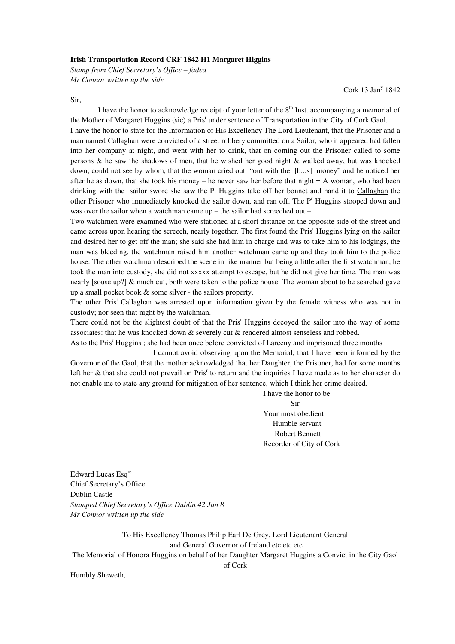## **Irish Transportation Record CRF 1842 H1 Margaret Higgins**

*Stamp from Chief Secretary's Office – faded Mr Connor written up the side* 

Sir,

Cork 13 Jan<sup>y</sup> 1842

I have the honor to acknowledge receipt of your letter of the 8<sup>th</sup> Inst. accompanying a memorial of the Mother of Margaret Huggins (sic) a Pris<sup>r</sup> under sentence of Transportation in the City of Cork Gaol.

I have the honor to state for the Information of His Excellency The Lord Lieutenant, that the Prisoner and a man named Callaghan were convicted of a street robbery committed on a Sailor, who it appeared had fallen into her company at night, and went with her to drink, that on coming out the Prisoner called to some persons & he saw the shadows of men, that he wished her good night & walked away, but was knocked down; could not see by whom, that the woman cried out "out with the [b...s] money" and he noticed her after he as down, that she took his money – he never saw her before that night  $= A$  woman, who had been drinking with the sailor swore she saw the P. Huggins take off her bonnet and hand it to Callaghan the other Prisoner who immediately knocked the sailor down, and ran off. The P<sup>r</sup> Huggins stooped down and was over the sailor when a watchman came up – the sailor had screeched out –

Two watchmen were examined who were stationed at a short distance on the opposite side of the street and came across upon hearing the screech, nearly together. The first found the Pris<sup>r</sup> Huggins lying on the sailor and desired her to get off the man; she said she had him in charge and was to take him to his lodgings, the man was bleeding, the watchman raised him another watchman came up and they took him to the police house. The other watchman described the scene in like manner but being a little after the first watchman, he took the man into custody, she did not xxxxx attempt to escape, but he did not give her time. The man was nearly [souse up?] & much cut, both were taken to the police house. The woman about to be searched gave up a small pocket book & some silver - the sailors property.

The other Pris<sup>r</sup> Callaghan was arrested upon information given by the female witness who was not in custody; nor seen that night by the watchman.

There could not be the slightest doubt of that the Pris<sup>r</sup> Huggins decoyed the sailor into the way of some associates: that he was knocked down & severely cut & rendered almost senseless and robbed.

As to the Pris<sup>r</sup> Huggins ; she had been once before convicted of Larceny and imprisoned three months

 I cannot avoid observing upon the Memorial, that I have been informed by the Governor of the Gaol, that the mother acknowledged that her Daughter, the Prisoner, had for some months left her & that she could not prevail on Pris<sup>r</sup> to return and the inquiries I have made as to her character do not enable me to state any ground for mitigation of her sentence, which I think her crime desired.

 I have the honor to be Sir Your most obedient Humble servant Robert Bennett Recorder of City of Cork

Edward Lucas Esq<sup>re</sup> Chief Secretary's Office Dublin Castle *Stamped Chief Secretary's Office Dublin 42 Jan 8 Mr Connor written up the side* 

To His Excellency Thomas Philip Earl De Grey, Lord Lieutenant General and General Governor of Ireland etc etc etc The Memorial of Honora Huggins on behalf of her Daughter Margaret Huggins a Convict in the City Gaol

Humbly Sheweth,

## of Cork